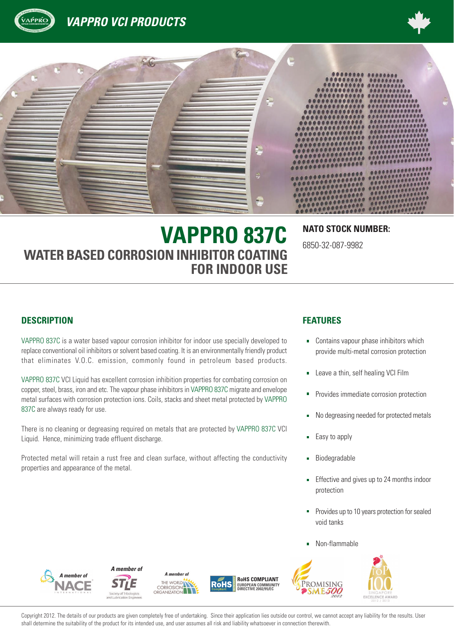





6850-32-087-9982

# **VAPPRO 837C NATO STOCK NUMBER: WATER BASED CORROSION INHIBITOR COATING FOR INDOOR USE**

#### **DESCRIPTION FEATURES**

VAPPRO 837C is a water based vapour corrosion inhibitor for indoor use specially developed to replace conventional oil inhibitors or solvent based coating. It is an environmentally friendly product that eliminates V.O.C. emission, commonly found in petroleum based products.

VAPPRO 837C VCI Liquid has excellent corrosion inhibition properties for combating corrosion on copper, steel, brass, iron and etc. The vapour phase inhibitors in VAPPRO 837C migrate and envelope metal surfaces with corrosion protection ions. Coils, stacks and sheet metal protected by VAPPRO 837C are always ready for use.

There is no cleaning or degreasing required on metals that are protected by VAPPRO 837C VCI Liquid. Hence, minimizing trade effluent discharge.

Protected metal will retain a rust free and clean surface, without affecting the conductivity properties and appearance of the metal.

- **-** Contains vapour phase inhibitors which provide multi-metal corrosion protection
- Leave a thin, self healing VCI Film  $\blacksquare$
- Provides immediate corrosion protection
- No degreasing needed for protected metals  $\blacksquare$
- Easy to apply
- Biodegradable ٠
- Effective and gives up to 24 months indoor  $\blacksquare$ protection
- Provides up to 10 years protection for sealed void tanks
- Non-flammable





*A member of*





**RoHS COMPLIANT RoHS EUROPEAN COMMUNITY DIRECTIVE 2002/95/EC**

Copyright 2012. The details of our products are given completely free of undertaking. Since their application lies outside our control, we cannot accept any liability for the results. User shall determine the suitability of the product for its intended use, and user assumes all risk and liability whatsoever in connection therewith.